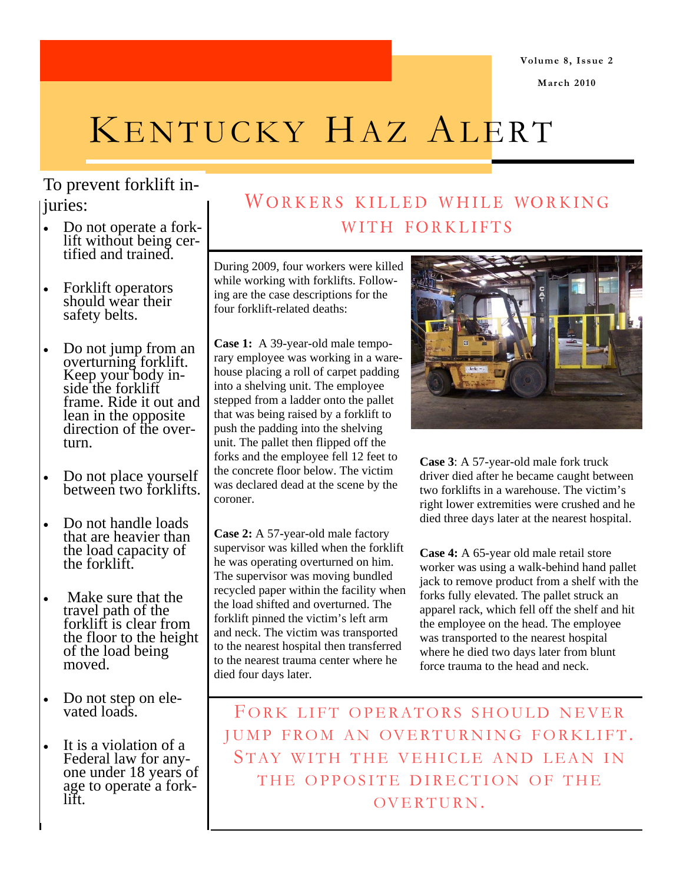**March 2010** 

# KENTUCKY HAZ ALERT

## To prevent forklift injuries:

- Do not operate a forklift without being certified and trained.
- Forklift operators should wear their safety belts.
- Do not jump from an overturning forklift. Keep your body inside the forklift frame. Ride it out and lean in the opposite direction of the overturn.
- Do not place yourself between two forklifts.
- Do not handle loads that are heavier than the load capacity of the forklift.
- Make sure that the travel path of the forklift is clear from the floor to the height of the load being moved.
- Do not step on elevated loads.
- It is a violation of a Federal law for anyone under 18 years of age to operate a forklift.

# WORKERS KILLED WHILE WORKING WITH FORKLIFTS

During 2009, four workers were killed while working with forklifts. Following are the case descriptions for the four forklift-related deaths:

**Case 1:** A 39-year-old male temporary employee was working in a warehouse placing a roll of carpet padding into a shelving unit. The employee stepped from a ladder onto the pallet that was being raised by a forklift to push the padding into the shelving unit. The pallet then flipped off the forks and the employee fell 12 feet to the concrete floor below. The victim was declared dead at the scene by the coroner.

**Case 2:** A 57-year-old male factory supervisor was killed when the forklift he was operating overturned on him. The supervisor was moving bundled recycled paper within the facility when the load shifted and overturned. The forklift pinned the victim's left arm and neck. The victim was transported to the nearest hospital then transferred to the nearest trauma center where he died four days later.



**Case 3**: A 57-year-old male fork truck driver died after he became caught between two forklifts in a warehouse. The victim's right lower extremities were crushed and he died three days later at the nearest hospital.

**Case 4:** A 65-year old male retail store worker was using a walk-behind hand pallet jack to remove product from a shelf with the forks fully elevated. The pallet struck an apparel rack, which fell off the shelf and hit the employee on the head. The employee was transported to the nearest hospital where he died two days later from blunt force trauma to the head and neck.

FORK LIFT OPERATORS SHOULD NEVER JUMP FROM AN OVERTURNING FORKLIFT. STAY WITH THE VEHICLE AND LEAN IN THE OPPOSITE DIRECTION OF THE OVERTURN .